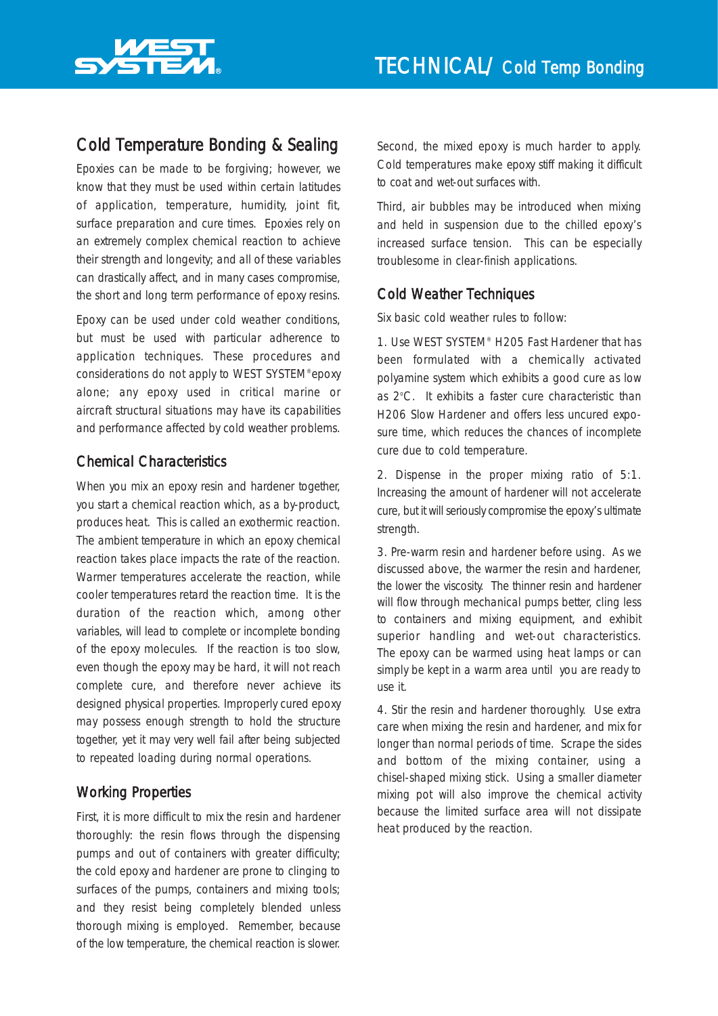

# Cold Temperature Bonding & Sealing

Epoxies can be made to be forgiving; however, we know that they must be used within certain latitudes of application, temperature, humidity, joint fit, surface preparation and cure times. Epoxies rely on an extremely complex chemical reaction to achieve their strength and longevity; and all of these variables can drastically affect, and in many cases compromise, the short and long term performance of epoxy resins.

Epoxy can be used under cold weather conditions, but must be used with particular adherence to application techniques. These procedures and considerations do not apply to WEST SYSTEM®epoxy alone; any epoxy used in critical marine or aircraft structural situations may have its capabilities and performance affected by cold weather problems.

## Chemical Characteristics

When you mix an epoxy resin and hardener together, you start a chemical reaction which, as a by-product, produces heat. This is called an exothermic reaction. The ambient temperature in which an epoxy chemical reaction takes place impacts the rate of the reaction. Warmer temperatures accelerate the reaction, while cooler temperatures retard the reaction time. It is the duration of the reaction which, among other variables, will lead to complete or incomplete bonding of the epoxy molecules. If the reaction is too slow, even though the epoxy may be hard, it will not reach complete cure, and therefore never achieve its designed physical properties. Improperly cured epoxy may possess enough strength to hold the structure together, yet it may very well fail after being subjected to repeated loading during normal operations.

## Working Properties

First, it is more difficult to mix the resin and hardener thoroughly: the resin flows through the dispensing pumps and out of containers with greater difficulty; the cold epoxy and hardener are prone to clinging to surfaces of the pumps, containers and mixing tools; and they resist being completely blended unless thorough mixing is employed. Remember, because of the low temperature, the chemical reaction is slower.

Second, the mixed epoxy is much harder to apply. Cold temperatures make epoxy stiff making it difficult to coat and wet-out surfaces with.

Third, air bubbles may be introduced when mixing and held in suspension due to the chilled epoxy's increased surface tension. This can be especially troublesome in clear-finish applications.

#### Cold Weather Techniques

Six basic cold weather rules to follow:

1. Use WEST SYSTEM® H205 Fast Hardener that has been formulated with a chemically activated polyamine system which exhibits a good cure as low as 2°C. It exhibits a faster cure characteristic than H206 Slow Hardener and offers less uncured exposure time, which reduces the chances of incomplete cure due to cold temperature.

2. Dispense in the proper mixing ratio of 5:1. Increasing the amount of hardener will not accelerate cure, but it will seriously compromise the epoxy's ultimate strength.

3. Pre-warm resin and hardener before using. As we discussed above, the warmer the resin and hardener, the lower the viscosity. The thinner resin and hardener will flow through mechanical pumps better, cling less to containers and mixing equipment, and exhibit superior handling and wet-out characteristics. The epoxy can be warmed using heat lamps or can simply be kept in a warm area until you are ready to use it.

4. Stir the resin and hardener thoroughly. Use extra care when mixing the resin and hardener, and mix for longer than normal periods of time. Scrape the sides and bottom of the mixing container, using a chisel-shaped mixing stick. Using a smaller diameter mixing pot will also improve the chemical activity because the limited surface area will not dissipate heat produced by the reaction.